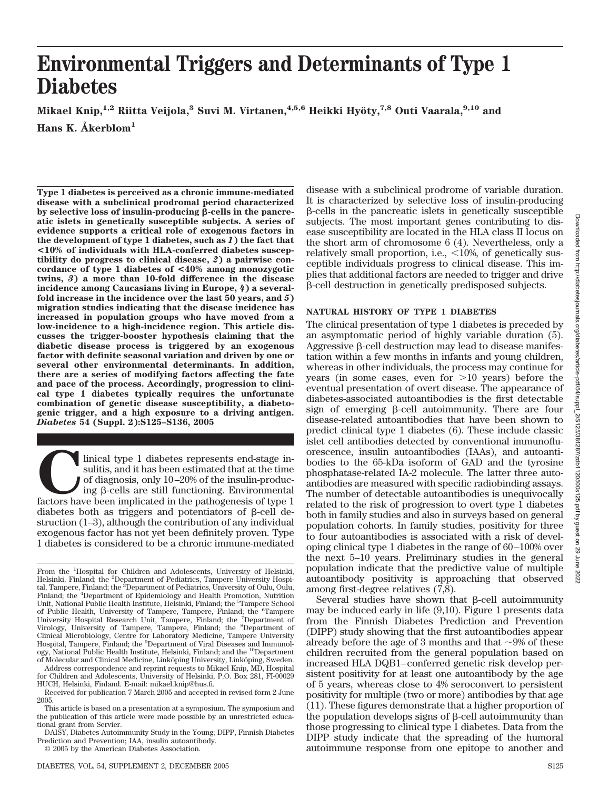# **Environmental Triggers and Determinants of Type 1 Diabetes**

**Mikael Knip**,<sup>1,2</sup> Riitta Veijola,<sup>3</sup> Suvi M. Virtanen,<sup>4,5,6</sup> Heikki Hyöty,<sup>7,8</sup> Outi Vaarala,<sup>9,10</sup> and **Hans K. Åkerblom1**

**Type 1 diabetes is perceived as a chronic immune-mediated disease with a subclinical prodromal period characterized by selective loss of insulin-producing** β-cells in the pancre**atic islets in genetically susceptible subjects. A series of evidence supports a critical role of exogenous factors in the development of type 1 diabetes, such as** *1***) the fact that <10% of individuals with HLA-conferred diabetes susceptibility do progress to clinical disease,** *2***) a pairwise concordance of type 1 diabetes of <40% among monozygotic twins,** *3***) a more than 10-fold difference in the disease incidence among Caucasians living in Europe,** *4***) a severalfold increase in the incidence over the last 50 years, and** *5***) migration studies indicating that the disease incidence has increased in population groups who have moved from a low-incidence to a high-incidence region. This article discusses the trigger-booster hypothesis claiming that the diabetic disease process is triggered by an exogenous factor with definite seasonal variation and driven by one or several other environmental determinants. In addition, there are a series of modifying factors affecting the fate and pace of the process. Accordingly, progression to clinical type 1 diabetes typically requires the unfortunate combination of genetic disease susceptibility, a diabetogenic trigger, and a high exposure to a driving antigen.** *Diabetes* **54 (Suppl. 2):S125–S136, 2005**

linical type 1 diabetes represents end-stage in-<br>sulitis, and it has been estimated that at the time<br>of diagnosis, only 10–20% of the insulin-produc-<br>factors have been implicated in the pathogenesis of type 1 sulitis, and it has been estimated that at the time of diagnosis, only 10–20% of the insulin-producing  $\beta$ -cells are still functioning. Environmental diabetes both as triggers and potentiators of  $\beta$ -cell destruction (1–3), although the contribution of any individual exogenous factor has not yet been definitely proven. Type 1 diabetes is considered to be a chronic immune-mediated

© 2005 by the American Diabetes Association.

disease with a subclinical prodrome of variable duration. It is characterized by selective loss of insulin-producing -cells in the pancreatic islets in genetically susceptible subjects. The most important genes contributing to disease susceptibility are located in the HLA class II locus on the short arm of chromosome 6 (4). Nevertheless, only a relatively small proportion, i.e.,  $\langle 10\%,$  of genetically susceptible individuals progress to clinical disease. This implies that additional factors are needed to trigger and drive -cell destruction in genetically predisposed subjects.

## **NATURAL HISTORY OF TYPE 1 DIABETES**

The clinical presentation of type 1 diabetes is preceded by an asymptomatic period of highly variable duration (5).  $Aggressive \beta-cell$  destruction may lead to disease manifestation within a few months in infants and young children, whereas in other individuals, the process may continue for years (in some cases, even for  $>10$  years) before the eventual presentation of overt disease. The appearance of diabetes-associated autoantibodies is the first detectable sign of emerging  $\beta$ -cell autoimmunity. There are four disease-related autoantibodies that have been shown to predict clinical type 1 diabetes (6). These include classic islet cell antibodies detected by conventional immunofluorescence, insulin autoantibodies (IAAs), and autoantibodies to the 65-kDa isoform of GAD and the tyrosine phosphatase-related IA-2 molecule. The latter three autoantibodies are measured with specific radiobinding assays. The number of detectable autoantibodies is unequivocally related to the risk of progression to overt type 1 diabetes both in family studies and also in surveys based on general population cohorts. In family studies, positivity for three to four autoantibodies is associated with a risk of developing clinical type 1 diabetes in the range of 60–100% over the next 5–10 years. Preliminary studies in the general population indicate that the predictive value of multiple autoantibody positivity is approaching that observed among first-degree relatives (7,8).

Several studies have shown that  $\beta$ -cell autoimmunity may be induced early in life (9,10). Figure 1 presents data from the Finnish Diabetes Prediction and Prevention (DIPP) study showing that the first autoantibodies appear already before the age of 3 months and that  $\sim$ 9% of these children recruited from the general population based on increased HLA DQB1–conferred genetic risk develop persistent positivity for at least one autoantibody by the age of 5 years, whereas close to 4% seroconvert to persistent positivity for multiple (two or more) antibodies by that age (11). These figures demonstrate that a higher proportion of the population develops signs of  $\beta$ -cell autoimmunity than those progressing to clinical type 1 diabetes. Data from the DIPP study indicate that the spreading of the humoral autoimmune response from one epitope to another and

From the <sup>1</sup>Hospital for Children and Adolescents, University of Helsinki, Helsinki, Finland; the <sup>2</sup>Department of Pediatrics, Tampere University Hospital, Tampere, Finland; the <sup>3</sup>Department of Pediatrics, University of Oulu, Oulu, Finland; the <sup>4</sup>Department of Epidemiology and Health Promotion, Nutrition Unit, National Public Health Institute, Helsinki, Finland; the <sup>5</sup>Tampere School of Public Health, University of Tampere, Tampere, Finland; the <sup>6</sup>Tampere<br>University Hospital Research Unit, Tampere, Finland; the <sup>8</sup>Department of<br>Virology, University of Tampere, Tampere, Finland; the <sup>8</sup>Department of Clinical Microbiology, Centre for Laboratory Medicine, Tampere University Hospital, Tampere, Finland; the <sup>9</sup>Department of Viral Diseases and Immunology, National Public Health Institute, Helsinki, Finland; and the <sup>10</sup>Department of Molecular and Clinical Medicine, Linköping University, Linköping, Sweden.

Address correspondence and reprint requests to Mikael Knip, MD, Hospital for Children and Adolescents, University of Helsinki, P.O. Box 281, FI-00029 HUCH, Helsinki, Finland. E-mail: mikael.knip@hus.fi.

Received for publication 7 March 2005 and accepted in revised form 2 June 2005.

This article is based on a presentation at a symposium. The symposium and the publication of this article were made possible by an unrestricted educational grant from Servier.

DAISY, Diabetes Autoimmunity Study in the Young; DIPP, Finnish Diabetes Prediction and Prevention; IAA, insulin autoantibody.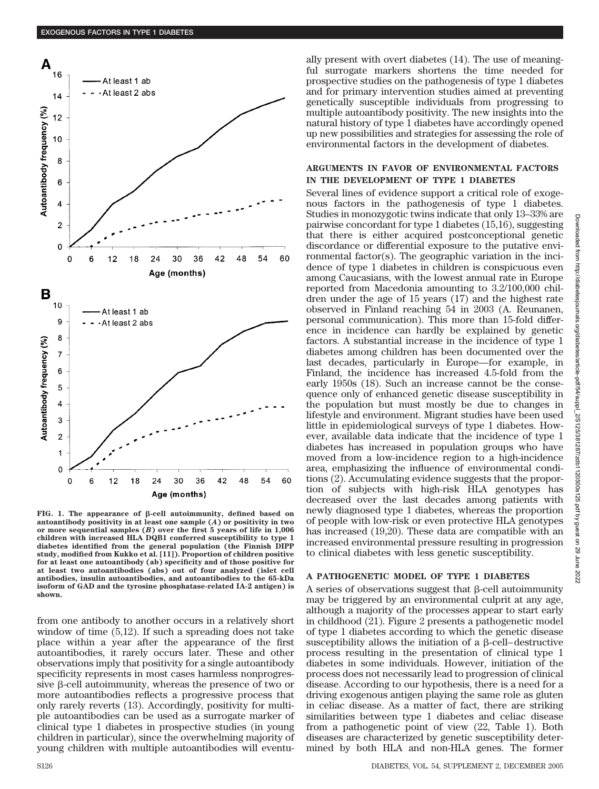

FIG. 1. The appearance of  $\beta$ -cell autoimmunity, defined based on **autoantibody positivity in at least one sample (***A***) or positivity in two or more sequential samples (***B***) over the first 5 years of life in 1,006 children with increased HLA DQB1 conferred susceptibility to type 1 diabetes identified from the general population (the Finnish DIPP study, modified from Kukko et al. [11]). Proportion of children positive for at least one autoantibody (ab) specificity and of those positive for at least two autoantibodies (abs) out of four analyzed (islet cell antibodies, insulin autoantibodies, and autoantibodies to the 65-kDa isoform of GAD and the tyrosine phosphatase-related IA-2 antigen) is shown.**

from one antibody to another occurs in a relatively short window of time (5,12). If such a spreading does not take place within a year after the appearance of the first autoantibodies, it rarely occurs later. These and other observations imply that positivity for a single autoantibody specificity represents in most cases harmless nonprogressive  $\beta$ -cell autoimmunity, whereas the presence of two or more autoantibodies reflects a progressive process that only rarely reverts (13). Accordingly, positivity for multiple autoantibodies can be used as a surrogate marker of clinical type 1 diabetes in prospective studies (in young children in particular), since the overwhelming majority of young children with multiple autoantibodies will eventually present with overt diabetes (14). The use of meaningful surrogate markers shortens the time needed for prospective studies on the pathogenesis of type 1 diabetes and for primary intervention studies aimed at preventing genetically susceptible individuals from progressing to multiple autoantibody positivity. The new insights into the natural history of type 1 diabetes have accordingly opened up new possibilities and strategies for assessing the role of environmental factors in the development of diabetes.

# **ARGUMENTS IN FAVOR OF ENVIRONMENTAL FACTORS IN THE DEVELOPMENT OF TYPE 1 DIABETES**

Several lines of evidence support a critical role of exogenous factors in the pathogenesis of type 1 diabetes. Studies in monozygotic twins indicate that only 13–33% are pairwise concordant for type 1 diabetes (15,16), suggesting that there is either acquired postconceptional genetic discordance or differential exposure to the putative environmental factor(s). The geographic variation in the incidence of type 1 diabetes in children is conspicuous even among Caucasians, with the lowest annual rate in Europe reported from Macedonia amounting to 3.2/100,000 children under the age of 15 years (17) and the highest rate observed in Finland reaching 54 in 2003 (A. Reunanen, personal communication). This more than 15-fold difference in incidence can hardly be explained by genetic factors. A substantial increase in the incidence of type 1 diabetes among children has been documented over the last decades, particularly in Europe—for example, in Finland, the incidence has increased 4.5-fold from the early 1950s (18). Such an increase cannot be the consequence only of enhanced genetic disease susceptibility in the population but must mostly be due to changes in lifestyle and environment. Migrant studies have been used little in epidemiological surveys of type 1 diabetes. However, available data indicate that the incidence of type 1 diabetes has increased in population groups who have moved from a low-incidence region to a high-incidence area, emphasizing the influence of environmental conditions (2). Accumulating evidence suggests that the proportion of subjects with high-risk HLA genotypes has decreased over the last decades among patients with newly diagnosed type 1 diabetes, whereas the proportion of people with low-risk or even protective HLA genotypes has increased (19,20). These data are compatible with an increased environmental pressure resulting in progression to clinical diabetes with less genetic susceptibility.

## **A PATHOGENETIC MODEL OF TYPE 1 DIABETES**

A series of observations suggest that  $\beta$ -cell autoimmunity may be triggered by an environmental culprit at any age, although a majority of the processes appear to start early in childhood (21). Figure 2 presents a pathogenetic model of type 1 diabetes according to which the genetic disease susceptibility allows the initiation of a  $\beta$ -cell–destructive process resulting in the presentation of clinical type 1 diabetes in some individuals. However, initiation of the process does not necessarily lead to progression of clinical disease. According to our hypothesis, there is a need for a driving exogenous antigen playing the same role as gluten in celiac disease. As a matter of fact, there are striking similarities between type 1 diabetes and celiac disease from a pathogenetic point of view (22, Table 1). Both diseases are characterized by genetic susceptibility determined by both HLA and non-HLA genes. The former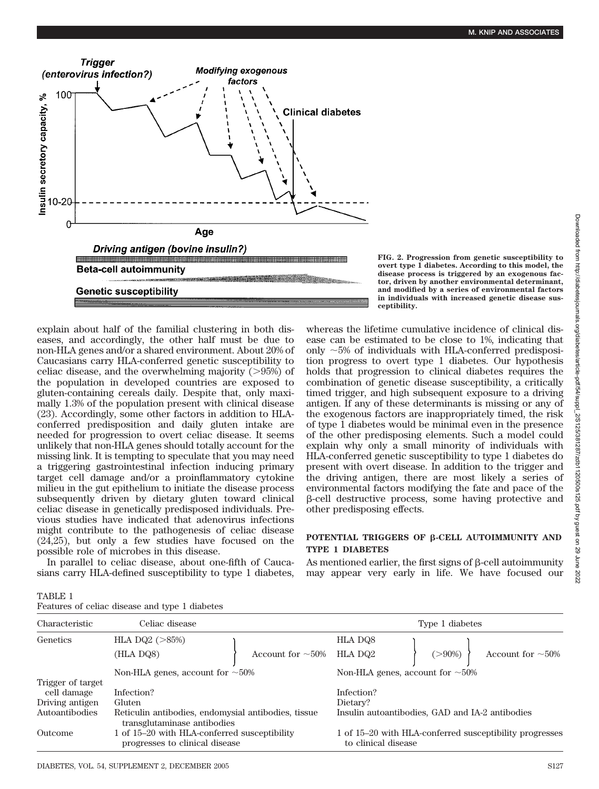

**FIG. 2. Progression from genetic susceptibility to overt type 1 diabetes. According to this model, the disease process is triggered by an exogenous factor, driven by another environmental determinant, and modified by a series of environmental factors in individuals with increased genetic disease susceptibility.**

explain about half of the familial clustering in both diseases, and accordingly, the other half must be due to non-HLA genes and/or a shared environment. About 20% of Caucasians carry HLA-conferred genetic susceptibility to celiac disease, and the overwhelming majority  $(>\!95\%)$  of the population in developed countries are exposed to gluten-containing cereals daily. Despite that, only maximally 1.3% of the population present with clinical disease (23). Accordingly, some other factors in addition to HLAconferred predisposition and daily gluten intake are needed for progression to overt celiac disease. It seems unlikely that non-HLA genes should totally account for the missing link. It is tempting to speculate that you may need a triggering gastrointestinal infection inducing primary target cell damage and/or a proinflammatory cytokine milieu in the gut epithelium to initiate the disease process subsequently driven by dietary gluten toward clinical celiac disease in genetically predisposed individuals. Previous studies have indicated that adenovirus infections might contribute to the pathogenesis of celiac disease (24,25), but only a few studies have focused on the possible role of microbes in this disease.

In parallel to celiac disease, about one-fifth of Caucasians carry HLA-defined susceptibility to type 1 diabetes, whereas the lifetime cumulative incidence of clinical disease can be estimated to be close to 1%, indicating that only  $\sim$  5% of individuals with HLA-conferred predisposition progress to overt type 1 diabetes. Our hypothesis holds that progression to clinical diabetes requires the combination of genetic disease susceptibility, a critically timed trigger, and high subsequent exposure to a driving antigen. If any of these determinants is missing or any of the exogenous factors are inappropriately timed, the risk of type 1 diabetes would be minimal even in the presence of the other predisposing elements. Such a model could explain why only a small minority of individuals with HLA-conferred genetic susceptibility to type 1 diabetes do present with overt disease. In addition to the trigger and the driving antigen, there are most likely a series of environmental factors modifying the fate and pace of the -cell destructive process, some having protective and other predisposing effects.

# **POTENTIAL TRIGGERS OF β-CELL AUTOIMMUNITY AND TYPE 1 DIABETES**

As mentioned earlier, the first signs of  $\beta$ -cell autoimmunity may appear very early in life. We have focused our

| Characteristic    | Celiac disease                                                                     |                                 | Type 1 diabetes                                                                |                                      |  |  |  |  |
|-------------------|------------------------------------------------------------------------------------|---------------------------------|--------------------------------------------------------------------------------|--------------------------------------|--|--|--|--|
| Genetics          | HLA DQ2 $(>85%)$                                                                   |                                 | HLA DQ8                                                                        |                                      |  |  |  |  |
|                   | (HLA DQ8)                                                                          | Account for $\sim 50\%$ HLA DQ2 |                                                                                | Account for $\sim 50\%$<br>$(>90\%)$ |  |  |  |  |
|                   | Non-HLA genes, account for $\sim 50\%$                                             |                                 | Non-HLA genes, account for $\sim 50\%$                                         |                                      |  |  |  |  |
| Trigger of target |                                                                                    |                                 |                                                                                |                                      |  |  |  |  |
| cell damage       | Infection?                                                                         |                                 | Infection?                                                                     |                                      |  |  |  |  |
| Driving antigen   | Gluten                                                                             |                                 | Dietary?                                                                       |                                      |  |  |  |  |
| Autoantibodies    | Reticulin antibodies, endomysial antibodies, tissue<br>transglutaminase antibodies |                                 | Insulin autoantibodies, GAD and IA-2 antibodies                                |                                      |  |  |  |  |
| Outcome           | 1 of 15–20 with HLA-conferred susceptibility<br>progresses to clinical disease     |                                 | 1 of 15–20 with HLA-conferred susceptibility progresses<br>to clinical disease |                                      |  |  |  |  |

| TABLE 1                                        |  |  |
|------------------------------------------------|--|--|
| Features of celiac disease and type 1 diabetes |  |  |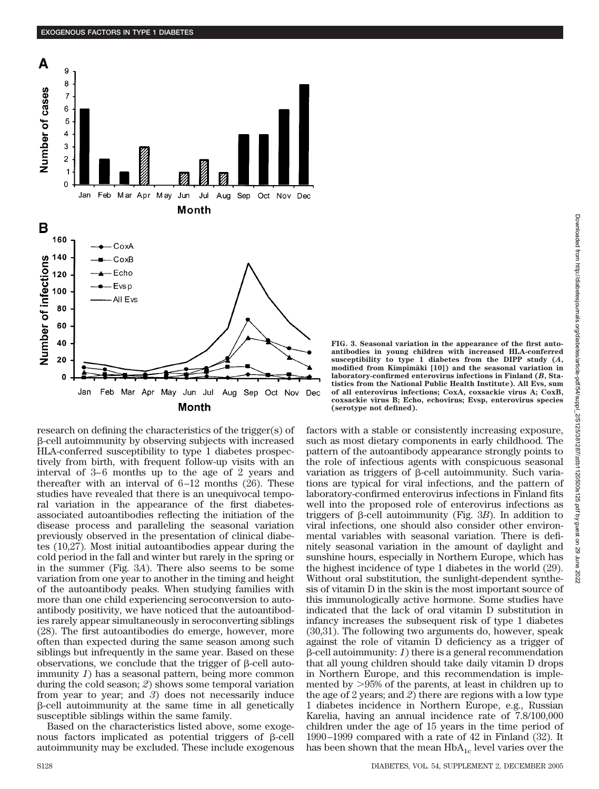

research on defining the characteristics of the trigger(s) of -cell autoimmunity by observing subjects with increased HLA-conferred susceptibility to type 1 diabetes prospectively from birth, with frequent follow-up visits with an interval of 3–6 months up to the age of 2 years and thereafter with an interval of 6–12 months (26). These studies have revealed that there is an unequivocal temporal variation in the appearance of the first diabetesassociated autoantibodies reflecting the initiation of the disease process and paralleling the seasonal variation previously observed in the presentation of clinical diabetes (10,27). Most initial autoantibodies appear during the cold period in the fall and winter but rarely in the spring or in the summer (Fig. 3*A*). There also seems to be some variation from one year to another in the timing and height of the autoantibody peaks. When studying families with more than one child experiencing seroconversion to autoantibody positivity, we have noticed that the autoantibodies rarely appear simultaneously in seroconverting siblings (28). The first autoantibodies do emerge, however, more often than expected during the same season among such siblings but infrequently in the same year. Based on these observations, we conclude that the trigger of  $\beta$ -cell autoimmunity *1*) has a seasonal pattern, being more common during the cold season; *2*) shows some temporal variation from year to year; and *3*) does not necessarily induce  $\beta$ -cell autoimmunity at the same time in all genetically susceptible siblings within the same family.

Based on the characteristics listed above, some exogenous factors implicated as potential triggers of  $\beta$ -cell autoimmunity may be excluded. These include exogenous

**FIG. 3. Seasonal variation in the appearance of the first autoantibodies in young children with increased HLA-conferred susceptibility to type 1 diabetes from the DIPP study (***A***,** modified from Kimpimäki [10]) and the seasonal variation in **laboratory-confirmed enterovirus infections in Finland (***B***, Statistics from the National Public Health Institute). All Evs, sum of all enterovirus infections; CoxA, coxsackie virus A; CoxB, coxsackie virus B; Echo, echovirus; Evsp, enterovirus species (serotype not defined).**

factors with a stable or consistently increasing exposure, such as most dietary components in early childhood. The pattern of the autoantibody appearance strongly points to the role of infectious agents with conspicuous seasonal variation as triggers of  $\beta$ -cell autoimmunity. Such variations are typical for viral infections, and the pattern of laboratory-confirmed enterovirus infections in Finland fits well into the proposed role of enterovirus infections as triggers of  $\beta$ -cell autoimmunity (Fig. 3*B*). In addition to viral infections, one should also consider other environmental variables with seasonal variation. There is definitely seasonal variation in the amount of daylight and sunshine hours, especially in Northern Europe, which has the highest incidence of type 1 diabetes in the world (29). Without oral substitution, the sunlight-dependent synthesis of vitamin D in the skin is the most important source of this immunologically active hormone. Some studies have indicated that the lack of oral vitamin D substitution in infancy increases the subsequent risk of type 1 diabetes (30,31). The following two arguments do, however, speak against the role of vitamin D deficiency as a trigger of  $\beta$ -cell autoimmunity: *1*) there is a general recommendation that all young children should take daily vitamin D drops in Northern Europe, and this recommendation is implemented by 95% of the parents, at least in children up to the age of 2 years; and *2*) there are regions with a low type 1 diabetes incidence in Northern Europe, e.g., Russian Karelia, having an annual incidence rate of 7.8/100,000 children under the age of 15 years in the time period of 1990–1999 compared with a rate of 42 in Finland (32). It has been shown that the mean  $HbA_{1c}$  level varies over the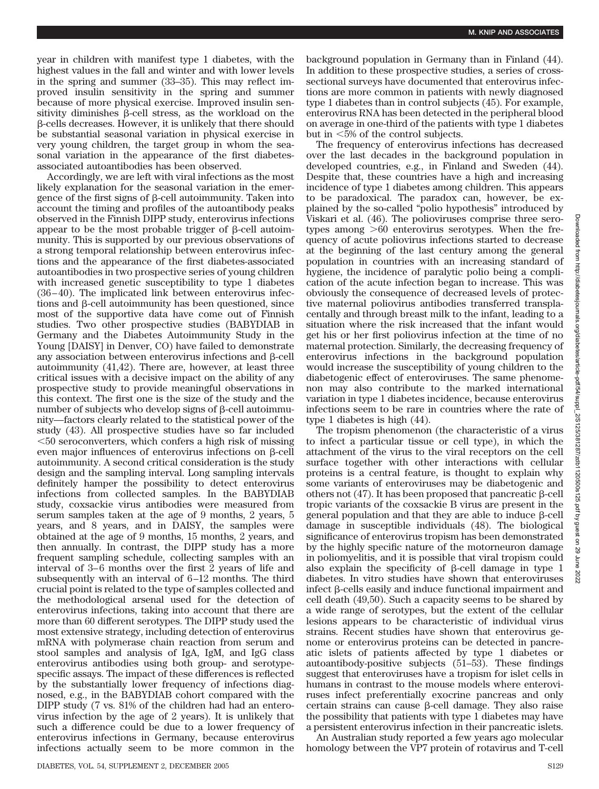year in children with manifest type 1 diabetes, with the highest values in the fall and winter and with lower levels in the spring and summer (33–35). This may reflect improved insulin sensitivity in the spring and summer because of more physical exercise. Improved insulin sensitivity diminishes  $\beta$ -cell stress, as the workload on the -cells decreases. However, it is unlikely that there should be substantial seasonal variation in physical exercise in very young children, the target group in whom the seasonal variation in the appearance of the first diabetesassociated autoantibodies has been observed.

Accordingly, we are left with viral infections as the most likely explanation for the seasonal variation in the emergence of the first signs of  $\beta$ -cell autoimmunity. Taken into account the timing and profiles of the autoantibody peaks observed in the Finnish DIPP study, enterovirus infections appear to be the most probable trigger of  $\beta$ -cell autoimmunity. This is supported by our previous observations of a strong temporal relationship between enterovirus infections and the appearance of the first diabetes-associated autoantibodies in two prospective series of young children with increased genetic susceptibility to type 1 diabetes (36–40). The implicated link between enterovirus infections and  $\beta$ -cell autoimmunity has been questioned, since most of the supportive data have come out of Finnish studies. Two other prospective studies (BABYDIAB in Germany and the Diabetes Autoimmunity Study in the Young [DAISY] in Denver, CO) have failed to demonstrate any association between enterovirus infections and  $\beta$ -cell autoimmunity (41,42). There are, however, at least three critical issues with a decisive impact on the ability of any prospective study to provide meaningful observations in this context. The first one is the size of the study and the number of subjects who develop signs of  $\beta$ -cell autoimmunity—factors clearly related to the statistical power of the study (43). All prospective studies have so far included -50 seroconverters, which confers a high risk of missing even major influences of enterovirus infections on  $\beta$ -cell autoimmunity. A second critical consideration is the study design and the sampling interval. Long sampling intervals definitely hamper the possibility to detect enterovirus infections from collected samples. In the BABYDIAB study, coxsackie virus antibodies were measured from serum samples taken at the age of 9 months, 2 years, 5 years, and 8 years, and in DAISY, the samples were obtained at the age of 9 months, 15 months, 2 years, and then annually. In contrast, the DIPP study has a more frequent sampling schedule, collecting samples with an interval of 3–6 months over the first 2 years of life and subsequently with an interval of 6–12 months. The third crucial point is related to the type of samples collected and the methodological arsenal used for the detection of enterovirus infections, taking into account that there are more than 60 different serotypes. The DIPP study used the most extensive strategy, including detection of enterovirus mRNA with polymerase chain reaction from serum and stool samples and analysis of IgA, IgM, and IgG class enterovirus antibodies using both group- and serotypespecific assays. The impact of these differences is reflected by the substantially lower frequency of infections diagnosed, e.g., in the BABYDIAB cohort compared with the DIPP study (7 vs. 81% of the children had had an enterovirus infection by the age of 2 years). It is unlikely that such a difference could be due to a lower frequency of enterovirus infections in Germany, because enterovirus infections actually seem to be more common in the

background population in Germany than in Finland (44). In addition to these prospective studies, a series of crosssectional surveys have documented that enterovirus infections are more common in patients with newly diagnosed type 1 diabetes than in control subjects (45). For example, enterovirus RNA has been detected in the peripheral blood on average in one-third of the patients with type 1 diabetes but in  $\leq 5\%$  of the control subjects.

The frequency of enterovirus infections has decreased over the last decades in the background population in developed countries, e.g., in Finland and Sweden (44). Despite that, these countries have a high and increasing incidence of type 1 diabetes among children. This appears to be paradoxical. The paradox can, however, be explained by the so-called "polio hypothesis" introduced by Viskari et al. (46). The polioviruses comprise three serotypes among  $>60$  enterovirus serotypes. When the frequency of acute poliovirus infections started to decrease at the beginning of the last century among the general population in countries with an increasing standard of hygiene, the incidence of paralytic polio being a complication of the acute infection began to increase. This was obviously the consequence of decreased levels of protective maternal poliovirus antibodies transferred transplacentally and through breast milk to the infant, leading to a situation where the risk increased that the infant would get his or her first poliovirus infection at the time of no maternal protection. Similarly, the decreasing frequency of enterovirus infections in the background population would increase the susceptibility of young children to the diabetogenic effect of enteroviruses. The same phenomenon may also contribute to the marked international variation in type 1 diabetes incidence, because enterovirus infections seem to be rare in countries where the rate of type 1 diabetes is high (44).

The tropism phenomenon (the characteristic of a virus to infect a particular tissue or cell type), in which the attachment of the virus to the viral receptors on the cell surface together with other interactions with cellular proteins is a central feature, is thought to explain why some variants of enteroviruses may be diabetogenic and others not  $(47)$ . It has been proposed that pancreatic  $\beta$ -cell tropic variants of the coxsackie B virus are present in the general population and that they are able to induce  $\beta$ -cell damage in susceptible individuals (48). The biological significance of enterovirus tropism has been demonstrated by the highly specific nature of the motorneuron damage in poliomyelitis, and it is possible that viral tropism could also explain the specificity of  $\beta$ -cell damage in type 1 diabetes. In vitro studies have shown that enteroviruses infect  $\beta$ -cells easily and induce functional impairment and cell death (49,50). Such a capacity seems to be shared by a wide range of serotypes, but the extent of the cellular lesions appears to be characteristic of individual virus strains. Recent studies have shown that enterovirus genome or enterovirus proteins can be detected in pancreatic islets of patients affected by type 1 diabetes or autoantibody-positive subjects (51–53). These findings suggest that enteroviruses have a tropism for islet cells in humans in contrast to the mouse models where enteroviruses infect preferentially exocrine pancreas and only certain strains can cause  $\beta$ -cell damage. They also raise the possibility that patients with type 1 diabetes may have a persistent enterovirus infection in their pancreatic islets.

An Australian study reported a few years ago molecular homology between the VP7 protein of rotavirus and T-cell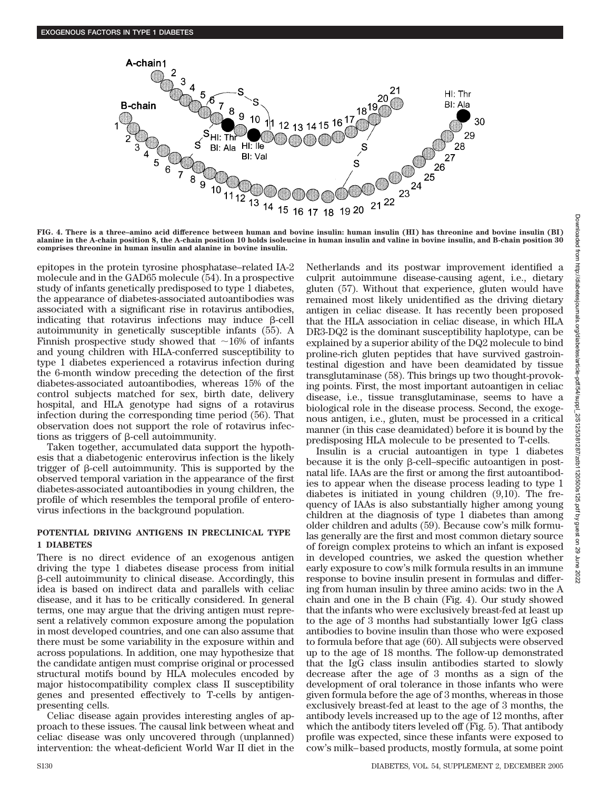

**FIG. 4. There is a three–amino acid difference between human and bovine insulin: human insulin (HI) has threonine and bovine insulin (BI) alanine in the A-chain position 8, the A-chain position 10 holds isoleucine in human insulin and valine in bovine insulin, and B-chain position 30 comprises threonine in human insulin and alanine in bovine insulin.**

epitopes in the protein tyrosine phosphatase–related IA-2 molecule and in the GAD65 molecule (54). In a prospective study of infants genetically predisposed to type 1 diabetes, the appearance of diabetes-associated autoantibodies was associated with a significant rise in rotavirus antibodies, indicating that rotavirus infections may induce  $\beta$ -cell autoimmunity in genetically susceptible infants (55). A Finnish prospective study showed that  $\sim 16\%$  of infants and young children with HLA-conferred susceptibility to type 1 diabetes experienced a rotavirus infection during the 6-month window preceding the detection of the first diabetes-associated autoantibodies, whereas 15% of the control subjects matched for sex, birth date, delivery hospital, and HLA genotype had signs of a rotavirus infection during the corresponding time period (56). That observation does not support the role of rotavirus infections as triggers of  $\beta$ -cell autoimmunity.

Taken together, accumulated data support the hypothesis that a diabetogenic enterovirus infection is the likely trigger of  $\beta$ -cell autoimmunity. This is supported by the observed temporal variation in the appearance of the first diabetes-associated autoantibodies in young children, the profile of which resembles the temporal profile of enterovirus infections in the background population.

# **POTENTIAL DRIVING ANTIGENS IN PRECLINICAL TYPE 1 DIABETES**

There is no direct evidence of an exogenous antigen driving the type 1 diabetes disease process from initial  $\beta$ -cell autoimmunity to clinical disease. Accordingly, this idea is based on indirect data and parallels with celiac disease, and it has to be critically considered. In general terms, one may argue that the driving antigen must represent a relatively common exposure among the population in most developed countries, and one can also assume that there must be some variability in the exposure within and across populations. In addition, one may hypothesize that the candidate antigen must comprise original or processed structural motifs bound by HLA molecules encoded by major histocompatibility complex class II susceptibility genes and presented effectively to T-cells by antigenpresenting cells.

Celiac disease again provides interesting angles of approach to these issues. The causal link between wheat and celiac disease was only uncovered through (unplanned) intervention: the wheat-deficient World War II diet in the

Netherlands and its postwar improvement identified a culprit autoimmune disease-causing agent, i.e., dietary gluten (57). Without that experience, gluten would have remained most likely unidentified as the driving dietary antigen in celiac disease. It has recently been proposed that the HLA association in celiac disease, in which HLA DR3-DQ2 is the dominant susceptibility haplotype, can be explained by a superior ability of the DQ2 molecule to bind proline-rich gluten peptides that have survived gastrointestinal digestion and have been deamidated by tissue transglutaminase (58). This brings up two thought-provoking points. First, the most important autoantigen in celiac disease, i.e., tissue transglutaminase, seems to have a biological role in the disease process. Second, the exogenous antigen, i.e., gluten, must be processed in a critical manner (in this case deamidated) before it is bound by the predisposing HLA molecule to be presented to T-cells.

Insulin is a crucial autoantigen in type 1 diabetes because it is the only  $\beta$ -cell–specific autoantigen in postnatal life. IAAs are the first or among the first autoantibodies to appear when the disease process leading to type 1 diabetes is initiated in young children (9,10). The frequency of IAAs is also substantially higher among young children at the diagnosis of type 1 diabetes than among older children and adults (59). Because cow's milk formulas generally are the first and most common dietary source of foreign complex proteins to which an infant is exposed in developed countries, we asked the question whether early exposure to cow's milk formula results in an immune response to bovine insulin present in formulas and differing from human insulin by three amino acids: two in the A chain and one in the B chain (Fig. 4). Our study showed that the infants who were exclusively breast-fed at least up to the age of 3 months had substantially lower IgG class antibodies to bovine insulin than those who were exposed to formula before that age (60). All subjects were observed up to the age of 18 months. The follow-up demonstrated that the IgG class insulin antibodies started to slowly decrease after the age of 3 months as a sign of the development of oral tolerance in those infants who were given formula before the age of 3 months, whereas in those exclusively breast-fed at least to the age of 3 months, the antibody levels increased up to the age of 12 months, after which the antibody titers leveled off (Fig. 5). That antibody profile was expected, since these infants were exposed to cow's milk–based products, mostly formula, at some point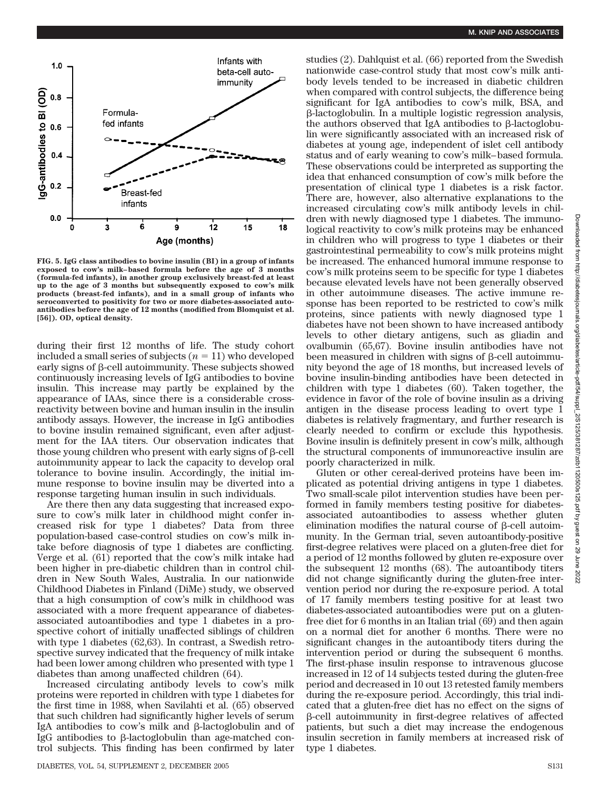

**FIG. 5. IgG class antibodies to bovine insulin (BI) in a group of infants exposed to cow's milk–based formula before the age of 3 months (formula-fed infants), in another group exclusively breast-fed at least up to the age of 3 months but subsequently exposed to cow's milk products (breast-fed infants), and in a small group of infants who seroconverted to positivity for two or more diabetes-associated autoantibodies before the age of 12 months (modified from Blomquist et al. [56]). OD, optical density.**

during their first 12 months of life. The study cohort included a small series of subjects  $(n = 11)$  who developed early signs of  $\beta$ -cell autoimmunity. These subjects showed continuously increasing levels of IgG antibodies to bovine insulin. This increase may partly be explained by the appearance of IAAs, since there is a considerable crossreactivity between bovine and human insulin in the insulin antibody assays. However, the increase in IgG antibodies to bovine insulin remained significant, even after adjustment for the IAA titers. Our observation indicates that those young children who present with early signs of  $\beta$ -cell autoimmunity appear to lack the capacity to develop oral tolerance to bovine insulin. Accordingly, the initial immune response to bovine insulin may be diverted into a response targeting human insulin in such individuals.

Are there then any data suggesting that increased exposure to cow's milk later in childhood might confer increased risk for type 1 diabetes? Data from three population-based case-control studies on cow's milk intake before diagnosis of type 1 diabetes are conflicting. Verge et al. (61) reported that the cow's milk intake had been higher in pre-diabetic children than in control children in New South Wales, Australia. In our nationwide Childhood Diabetes in Finland (DiMe) study, we observed that a high consumption of cow's milk in childhood was associated with a more frequent appearance of diabetesassociated autoantibodies and type 1 diabetes in a prospective cohort of initially unaffected siblings of children with type 1 diabetes (62,63). In contrast, a Swedish retrospective survey indicated that the frequency of milk intake had been lower among children who presented with type 1 diabetes than among unaffected children (64).

Increased circulating antibody levels to cow's milk proteins were reported in children with type 1 diabetes for the first time in 1988, when Savilahti et al. (65) observed that such children had significantly higher levels of serum IgA antibodies to cow's milk and  $\beta$ -lactoglobulin and of IgG antibodies to  $\beta$ -lactoglobulin than age-matched control subjects. This finding has been confirmed by later studies (2). Dahlquist et al. (66) reported from the Swedish nationwide case-control study that most cow's milk antibody levels tended to be increased in diabetic children when compared with control subjects, the difference being significant for IgA antibodies to cow's milk, BSA, and -lactoglobulin. In a multiple logistic regression analysis, the authors observed that IgA antibodies to  $\beta$ -lactoglobulin were significantly associated with an increased risk of diabetes at young age, independent of islet cell antibody status and of early weaning to cow's milk–based formula. These observations could be interpreted as supporting the idea that enhanced consumption of cow's milk before the presentation of clinical type 1 diabetes is a risk factor. There are, however, also alternative explanations to the increased circulating cow's milk antibody levels in children with newly diagnosed type 1 diabetes. The immunological reactivity to cow's milk proteins may be enhanced in children who will progress to type 1 diabetes or their gastrointestinal permeability to cow's milk proteins might be increased. The enhanced humoral immune response to cow's milk proteins seem to be specific for type 1 diabetes because elevated levels have not been generally observed in other autoimmune diseases. The active immune response has been reported to be restricted to cow's milk proteins, since patients with newly diagnosed type 1 diabetes have not been shown to have increased antibody levels to other dietary antigens, such as gliadin and ovalbumin (65,67). Bovine insulin antibodies have not been measured in children with signs of  $\beta$ -cell autoimmunity beyond the age of 18 months, but increased levels of bovine insulin-binding antibodies have been detected in children with type 1 diabetes (60). Taken together, the evidence in favor of the role of bovine insulin as a driving antigen in the disease process leading to overt type 1 diabetes is relatively fragmentary, and further research is clearly needed to confirm or exclude this hypothesis. Bovine insulin is definitely present in cow's milk, although the structural components of immunoreactive insulin are poorly characterized in milk.

Gluten or other cereal-derived proteins have been implicated as potential driving antigens in type 1 diabetes. Two small-scale pilot intervention studies have been performed in family members testing positive for diabetesassociated autoantibodies to assess whether gluten elimination modifies the natural course of  $\beta$ -cell autoimmunity. In the German trial, seven autoantibody-positive first-degree relatives were placed on a gluten-free diet for a period of 12 months followed by gluten re-exposure over the subsequent 12 months (68). The autoantibody titers did not change significantly during the gluten-free intervention period nor during the re-exposure period. A total of 17 family members testing positive for at least two diabetes-associated autoantibodies were put on a glutenfree diet for 6 months in an Italian trial (69) and then again on a normal diet for another 6 months. There were no significant changes in the autoantibody titers during the intervention period or during the subsequent 6 months. The first-phase insulin response to intravenous glucose increased in 12 of 14 subjects tested during the gluten-free period and decreased in 10 out 13 retested family members during the re-exposure period. Accordingly, this trial indicated that a gluten-free diet has no effect on the signs of  $\beta$ -cell autoimmunity in first-degree relatives of affected patients, but such a diet may increase the endogenous insulin secretion in family members at increased risk of type 1 diabetes.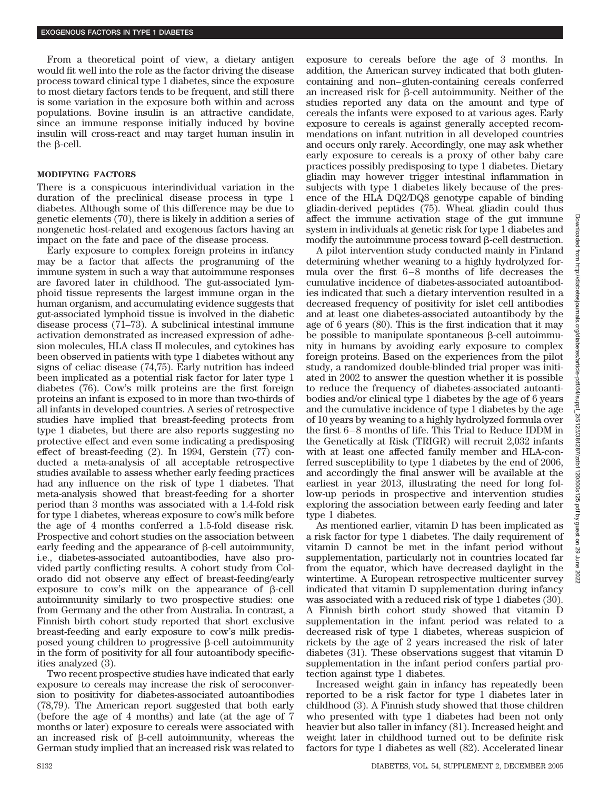From a theoretical point of view, a dietary antigen would fit well into the role as the factor driving the disease process toward clinical type 1 diabetes, since the exposure to most dietary factors tends to be frequent, and still there is some variation in the exposure both within and across populations. Bovine insulin is an attractive candidate, since an immune response initially induced by bovine insulin will cross-react and may target human insulin in the <sub>B</sub>-cell.

#### **MODIFYING FACTORS**

There is a conspicuous interindividual variation in the duration of the preclinical disease process in type 1 diabetes. Although some of this difference may be due to genetic elements (70), there is likely in addition a series of nongenetic host-related and exogenous factors having an impact on the fate and pace of the disease process.

Early exposure to complex foreign proteins in infancy may be a factor that affects the programming of the immune system in such a way that autoimmune responses are favored later in childhood. The gut-associated lymphoid tissue represents the largest immune organ in the human organism, and accumulating evidence suggests that gut-associated lymphoid tissue is involved in the diabetic disease process (71–73). A subclinical intestinal immune activation demonstrated as increased expression of adhesion molecules, HLA class II molecules, and cytokines has been observed in patients with type 1 diabetes without any signs of celiac disease (74,75). Early nutrition has indeed been implicated as a potential risk factor for later type 1 diabetes (76). Cow's milk proteins are the first foreign proteins an infant is exposed to in more than two-thirds of all infants in developed countries. A series of retrospective studies have implied that breast-feeding protects from type 1 diabetes, but there are also reports suggesting no protective effect and even some indicating a predisposing effect of breast-feeding (2). In 1994, Gerstein (77) conducted a meta-analysis of all acceptable retrospective studies available to assess whether early feeding practices had any influence on the risk of type 1 diabetes. That meta-analysis showed that breast-feeding for a shorter period than 3 months was associated with a 1.4-fold risk for type 1 diabetes, whereas exposure to cow's milk before the age of 4 months conferred a 1.5-fold disease risk. Prospective and cohort studies on the association between early feeding and the appearance of  $\beta$ -cell autoimmunity, i.e., diabetes-associated autoantibodies, have also provided partly conflicting results. A cohort study from Colorado did not observe any effect of breast-feeding/early exposure to cow's milk on the appearance of  $\beta$ -cell autoimmunity similarly to two prospective studies: one from Germany and the other from Australia. In contrast, a Finnish birth cohort study reported that short exclusive breast-feeding and early exposure to cow's milk predisposed young children to progressive  $\beta$ -cell autoimmunity in the form of positivity for all four autoantibody specificities analyzed (3).

Two recent prospective studies have indicated that early exposure to cereals may increase the risk of seroconversion to positivity for diabetes-associated autoantibodies (78,79). The American report suggested that both early (before the age of 4 months) and late (at the age of 7 months or later) exposure to cereals were associated with an increased risk of  $\beta$ -cell autoimmunity, whereas the German study implied that an increased risk was related to

exposure to cereals before the age of 3 months. In addition, the American survey indicated that both glutencontaining and non–gluten-containing cereals conferred an increased risk for  $\beta$ -cell autoimmunity. Neither of the studies reported any data on the amount and type of cereals the infants were exposed to at various ages. Early exposure to cereals is against generally accepted recommendations on infant nutrition in all developed countries and occurs only rarely. Accordingly, one may ask whether early exposure to cereals is a proxy of other baby care practices possibly predisposing to type 1 diabetes. Dietary gliadin may however trigger intestinal inflammation in subjects with type 1 diabetes likely because of the presence of the HLA DQ2/DQ8 genotype capable of binding gliadin-derived peptides (75). Wheat gliadin could thus affect the immune activation stage of the gut immune system in individuals at genetic risk for type 1 diabetes and modify the autoimmune process toward  $\beta$ -cell destruction.

A pilot intervention study conducted mainly in Finland determining whether weaning to a highly hydrolyzed formula over the first 6–8 months of life decreases the cumulative incidence of diabetes-associated autoantibodies indicated that such a dietary intervention resulted in a decreased frequency of positivity for islet cell antibodies and at least one diabetes-associated autoantibody by the age of 6 years (80). This is the first indication that it may be possible to manipulate spontaneous  $\beta$ -cell autoimmunity in humans by avoiding early exposure to complex foreign proteins. Based on the experiences from the pilot study, a randomized double-blinded trial proper was initiated in 2002 to answer the question whether it is possible to reduce the frequency of diabetes-associated autoantibodies and/or clinical type 1 diabetes by the age of 6 years and the cumulative incidence of type 1 diabetes by the age of 10 years by weaning to a highly hydrolyzed formula over the first 6–8 months of life. This Trial to Reduce IDDM in the Genetically at Risk (TRIGR) will recruit 2,032 infants with at least one affected family member and HLA-conferred susceptibility to type 1 diabetes by the end of 2006, and accordingly the final answer will be available at the earliest in year 2013, illustrating the need for long follow-up periods in prospective and intervention studies exploring the association between early feeding and later type 1 diabetes.

As mentioned earlier, vitamin D has been implicated as a risk factor for type 1 diabetes. The daily requirement of vitamin D cannot be met in the infant period without supplementation, particularly not in countries located far from the equator, which have decreased daylight in the wintertime. A European retrospective multicenter survey indicated that vitamin D supplementation during infancy was associated with a reduced risk of type 1 diabetes (30). A Finnish birth cohort study showed that vitamin D supplementation in the infant period was related to a decreased risk of type 1 diabetes, whereas suspicion of rickets by the age of 2 years increased the risk of later diabetes (31). These observations suggest that vitamin D supplementation in the infant period confers partial protection against type 1 diabetes.

Increased weight gain in infancy has repeatedly been reported to be a risk factor for type 1 diabetes later in childhood (3). A Finnish study showed that those children who presented with type 1 diabetes had been not only heavier but also taller in infancy (81). Increased height and weight later in childhood turned out to be definite risk factors for type 1 diabetes as well (82). Accelerated linear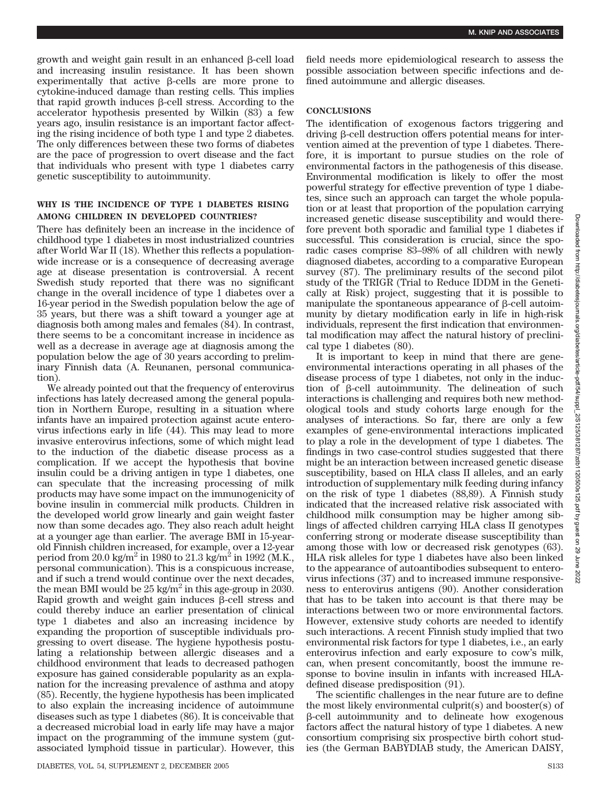growth and weight gain result in an enhanced  $\beta$ -cell load and increasing insulin resistance. It has been shown experimentally that active  $\beta$ -cells are more prone to cytokine-induced damage than resting cells. This implies that rapid growth induces  $\beta$ -cell stress. According to the accelerator hypothesis presented by Wilkin (83) a few years ago, insulin resistance is an important factor affecting the rising incidence of both type 1 and type 2 diabetes. The only differences between these two forms of diabetes are the pace of progression to overt disease and the fact that individuals who present with type 1 diabetes carry genetic susceptibility to autoimmunity.

## **WHY IS THE INCIDENCE OF TYPE 1 DIABETES RISING AMONG CHILDREN IN DEVELOPED COUNTRIES?**

There has definitely been an increase in the incidence of childhood type 1 diabetes in most industrialized countries after World War II (18). Whether this reflects a populationwide increase or is a consequence of decreasing average age at disease presentation is controversial. A recent Swedish study reported that there was no significant change in the overall incidence of type 1 diabetes over a 16-year period in the Swedish population below the age of 35 years, but there was a shift toward a younger age at diagnosis both among males and females (84). In contrast, there seems to be a concomitant increase in incidence as well as a decrease in average age at diagnosis among the population below the age of 30 years according to preliminary Finnish data (A. Reunanen, personal communication).

We already pointed out that the frequency of enterovirus infections has lately decreased among the general population in Northern Europe, resulting in a situation where infants have an impaired protection against acute enterovirus infections early in life (44). This may lead to more invasive enterovirus infections, some of which might lead to the induction of the diabetic disease process as a complication. If we accept the hypothesis that bovine insulin could be a driving antigen in type 1 diabetes, one can speculate that the increasing processing of milk products may have some impact on the immunogenicity of bovine insulin in commercial milk products. Children in the developed world grow linearly and gain weight faster now than some decades ago. They also reach adult height at a younger age than earlier. The average BMI in 15-yearold Finnish children increased, for example, over a 12-year period from 20.0 kg/m<sup>2</sup> in 1980 to 21.3 kg/m<sup>2</sup> in 1992 (M.K., personal communication). This is a conspicuous increase, and if such a trend would continue over the next decades, the mean BMI would be  $25 \text{ kg/m}^2$  in this age-group in 2030. Rapid growth and weight gain induces  $\beta$ -cell stress and could thereby induce an earlier presentation of clinical type 1 diabetes and also an increasing incidence by expanding the proportion of susceptible individuals progressing to overt disease. The hygiene hypothesis postulating a relationship between allergic diseases and a childhood environment that leads to decreased pathogen exposure has gained considerable popularity as an explanation for the increasing prevalence of asthma and atopy (85). Recently, the hygiene hypothesis has been implicated to also explain the increasing incidence of autoimmune diseases such as type 1 diabetes (86). It is conceivable that a decreased microbial load in early life may have a major impact on the programming of the immune system (gutassociated lymphoid tissue in particular). However, this field needs more epidemiological research to assess the possible association between specific infections and defined autoimmune and allergic diseases.

## **CONCLUSIONS**

The identification of exogenous factors triggering and  $\alpha$  driving  $\beta$ -cell destruction offers potential means for intervention aimed at the prevention of type 1 diabetes. Therefore, it is important to pursue studies on the role of environmental factors in the pathogenesis of this disease. Environmental modification is likely to offer the most powerful strategy for effective prevention of type 1 diabetes, since such an approach can target the whole population or at least that proportion of the population carrying increased genetic disease susceptibility and would therefore prevent both sporadic and familial type 1 diabetes if successful. This consideration is crucial, since the sporadic cases comprise 83–98% of all children with newly diagnosed diabetes, according to a comparative European survey (87). The preliminary results of the second pilot study of the TRIGR (Trial to Reduce IDDM in the Genetically at Risk) project, suggesting that it is possible to manipulate the spontaneous appearance of  $\beta$ -cell autoimmunity by dietary modification early in life in high-risk individuals, represent the first indication that environmental modification may affect the natural history of preclinical type 1 diabetes (80).

It is important to keep in mind that there are geneenvironmental interactions operating in all phases of the disease process of type 1 diabetes, not only in the induction of  $\beta$ -cell autoimmunity. The delineation of such interactions is challenging and requires both new methodological tools and study cohorts large enough for the analyses of interactions. So far, there are only a few examples of gene-environmental interactions implicated to play a role in the development of type 1 diabetes. The findings in two case-control studies suggested that there might be an interaction between increased genetic disease susceptibility, based on HLA class II alleles, and an early introduction of supplementary milk feeding during infancy on the risk of type 1 diabetes (88,89). A Finnish study indicated that the increased relative risk associated with childhood milk consumption may be higher among siblings of affected children carrying HLA class II genotypes conferring strong or moderate disease susceptibility than among those with low or decreased risk genotypes (63). HLA risk alleles for type 1 diabetes have also been linked to the appearance of autoantibodies subsequent to enterovirus infections (37) and to increased immune responsiveness to enterovirus antigens (90). Another consideration that has to be taken into account is that there may be interactions between two or more environmental factors. However, extensive study cohorts are needed to identify such interactions. A recent Finnish study implied that two environmental risk factors for type 1 diabetes, i.e., an early enterovirus infection and early exposure to cow's milk, can, when present concomitantly, boost the immune response to bovine insulin in infants with increased HLAdefined disease predisposition (91).

The scientific challenges in the near future are to define the most likely environmental culprit(s) and booster(s) of  $\beta$ -cell autoimmunity and to delineate how exogenous factors affect the natural history of type 1 diabetes. A new consortium comprising six prospective birth cohort studies (the German BABYDIAB study, the American DAISY,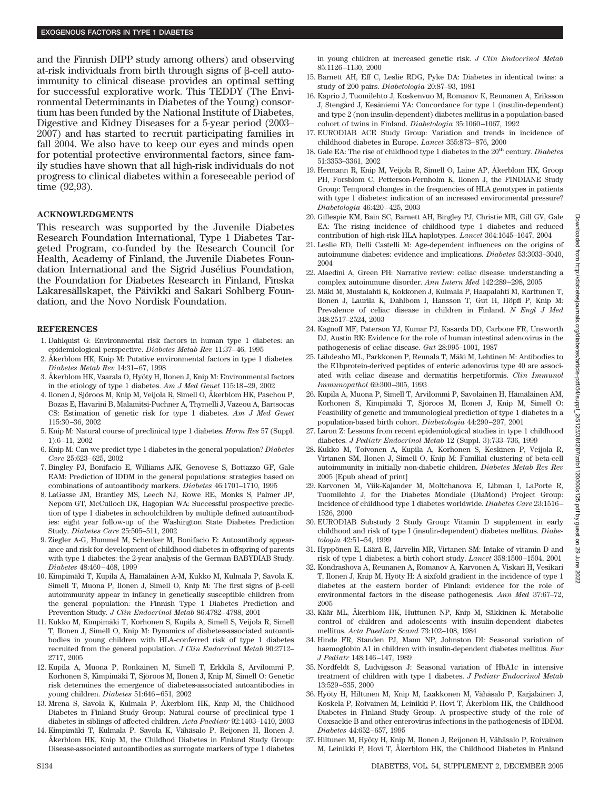and the Finnish DIPP study among others) and observing at-risk individuals from birth through signs of  $\beta$ -cell autoimmunity to clinical disease provides an optimal setting for successful explorative work. This TEDDY (The Environmental Determinants in Diabetes of the Young) consortium has been funded by the National Institute of Diabetes, Digestive and Kidney Diseases for a 5-year period (2003– 2007) and has started to recruit participating families in fall 2004. We also have to keep our eyes and minds open for potential protective environmental factors, since family studies have shown that all high-risk individuals do not progress to clinical diabetes within a foreseeable period of time (92,93).

## **ACKNOWLEDGMENTS**

This research was supported by the Juvenile Diabetes Research Foundation International, Type 1 Diabetes Targeted Program, co-funded by the Research Council for Health, Academy of Finland, the Juvenile Diabetes Foundation International and the Sigrid Jusélius Foundation, the Foundation for Diabetes Research in Finland, Finska Läkaresällskapet, the Päivikki and Sakari Sohlberg Foundation, and the Novo Nordisk Foundation.

### **REFERENCES**

- 1. Dahlquist G: Environmental risk factors in human type 1 diabetes: an epidemiological perspective. *Diabetes Metab Rev* 11:37–46, 1995
- 2. Åkerblom HK, Knip M: Putative environmental factors in type 1 diabetes. *Diabetes Metab Rev* 14:31–67, 1998
- 3. Åkerblom HK, Vaarala O, Hyöty H, Ilonen J, Knip M: Environmental factors in the etiology of type 1 diabetes. *Am J Med Genet* 115:18–29, 2002
- 4. Ilonen J, Sjöroos M, Knip M, Veijola R, Simell O, Åkerblom HK, Paschou P, Bozas E, Havarini B, Malamitsi-Puchner A, Thymelli J, Vazeou A, Bartsocas CS: Estimation of genetic risk for type 1 diabetes. *Am J Med Genet* 115:30–36, 2002
- 5. Knip M: Natural course of preclinical type 1 diabetes. *Horm Res* 57 (Suppl. 1):6–11, 2002
- 6. Knip M: Can we predict type 1 diabetes in the general population? *Diabetes Care* 25:623–625, 2002
- 7. Bingley PJ, Bonifacio E, Williams AJK, Genovese S, Bottazzo GF, Gale EAM: Prediction of IDDM in the general populations: strategies based on combinations of autoantibody markers. *Diabetes* 46:1701–1710, 1995
- 8. LaGasse JM, Brantley MS, Leech NJ, Rowe RE, Monks S, Palmer JP, Nepom GT, McCulloch DK, Hagopian WA: Successful prospective prediction of type 1 diabetes in schoolchildren by multiple defined autoantibodies: eight year follow-up of the Washington State Diabetes Prediction Study. *Diabetes Care* 25:505–511, 2002
- 9. Ziegler A-G, Hummel M, Schenker M, Bonifacio E: Autoantibody appearance and risk for development of childhood diabetes in offspring of parents with type 1 diabetes: the 2-year analysis of the German BABYDIAB Study. *Diabetes* 48:460–468, 1999
- 10. Kimpimäki T, Kupila A, Hämäläinen A-M, Kukko M, Kulmala P, Savola K, Simell T, Muona P, Ilonen J, Simell O, Knip M: The first signs of  $\beta$ -cell autoimmunity appear in infancy in genetically susceptible children from the general population: the Finnish Type 1 Diabetes Prediction and Prevention Study. *J Clin Endocrinol Metab* 86:4782–4788, 2001
- 11. Kukko M, Kimpima¨ki T, Korhonen S, Kupila A, Simell S, Veijola R, Simell T, Ilonen J, Simell O, Knip M: Dynamics of diabetes-associated autoantibodies in young children with HLA-conferred risk of type 1 diabetes recruited from the general population. *J Clin Endocrinol Metab* 90:2712– 2717, 2005
- 12. Kupila A, Muona P, Ronkainen M, Simell T, Erkkila¨ S, Arvilommi P, Korhonen S, Kimpimäki T, Sjöroos M, Ilonen J, Knip M, Simell O: Genetic risk determines the emergence of diabetes-associated autoantibodies in young children. *Diabetes* 51:646–651, 2002
- 13. Mrena S, Savola K, Kulmala P, Åkerblom HK, Knip M, the Childhood Diabetes in Finland Study Group: Natural course of preclinical type 1 diabetes in siblings of affected children. *Acta Paediatr* 92:1403–1410, 2003
- 14. Kimpimäki T, Kulmala P, Savola K, Vähäsalo P, Reijonen H, Ilonen J, Åkerblom HK, Knip M, the Childhod Diabetes in Finland Study Group: Disease-associated autoantibodies as surrogate markers of type 1 diabetes

in young children at increased genetic risk. *J Clin Endocrinol Metab* 85:1126–1130, 2000

- 15. Barnett AH, Eff C, Leslie RDG, Pyke DA: Diabetes in identical twins: a study of 200 pairs. *Diabetologia* 20:87–93, 1981
- 16. Kaprio J, Tuomilehto J, Koskenvuo M, Romanov K, Reunanen A, Eriksson J, Stengård J, Kesäniemi YA: Concordance for type 1 (insulin-dependent) and type 2 (non-insulin-dependent) diabetes mellitus in a population-based cohort of twins in Finland. *Diabetologia* 35:1060–1067, 1992
- 17. EURODIAB ACE Study Group: Variation and trends in incidence of childhood diabetes in Europe. *Lancet* 355:873–876, 2000
- 18. Gale EA: The rise of childhood type 1 diabetes in the 20th century. *Diabetes* 51:3353–3361, 2002
- 19. Hermann R, Knip M, Veijola R, Simell O, Laine AP, Åkerblom HK, Groop PH, Forsblom C, Petterson-Fernholm K, Ilonen J, the FINDIANE Study Group: Temporal changes in the frequencies of HLA genotypes in patients with type 1 diabetes: indication of an increased environmental pressure? *Diabetologia* 46:420–425, 2003
- 20. Gillespie KM, Bain SC, Barnett AH, Bingley PJ, Christie MR, Gill GV, Gale EA: The rising incidence of childhood type 1 diabetes and reduced contribution of high-risk HLA haplotypes. *Lancet* 364:1645–1647, 2004
- 21. Leslie RD, Delli Castelli M: Age-dependent influences on the origins of autoimmune diabetes: evidence and implications. *Diabetes* 53:3033–3040, 2004
- 22. Alaedini A, Green PH: Narrative review: celiac disease: understanding a complex autoimmune disorder. *Ann Intern Med* 142:289–298, 2005
- 23. Mäki M, Mustalahti K, Kokkonen J, Kulmala P, Haapalahti M, Karttunen T, Ilonen J, Laurila K, Dahlbom I, Hansson T, Gut H, Höpfl P, Knip M: Prevalence of celiac disease in children in Finland. *N Engl J Med* 348:2517–2524, 2003
- 24. Kagnoff MF, Paterson YJ, Kumar PJ, Kasarda DD, Carbone FR, Unsworth DJ, Austin RK: Evidence for the role of human intestinal adenovirus in the pathogenesis of celiac disease. *Gut* 28:995–1001, 1987
- 25. Lähdeaho ML, Parkkonen P, Reunala T, Mäki M, Lehtinen M: Antibodies to the E1bprotein-derived peptides of enteric adenovirus type 40 are associated with celiac disease and dermatitis herpetiformis. *Clin Immunol Immunopathol* 69:300–305, 1993
- 26. Kupila A, Muona P, Simell T, Arvilommi P, Savolainen H, Hämäläinen AM, Korhonen S, Kimpimäki T, Sjöroos M, Ilonen J, Knip M, Simell O: Feasibility of genetic and immunological prediction of type 1 diabetes in a population-based birth cohort. *Diabetologia* 44:290–297, 2001
- 27. Laron Z: Lessons from recent epidemiological studies in type 1 childhood diabetes. *J Pediatr Endocrinol Metab* 12 (Suppl. 3):733–736, 1999
- 28. Kukko M, Toivonen A, Kupila A, Korhonen S, Keskinen P, Veijola R, Virtanen SM, Ilonen J, Simell O, Knip M: Familial clustering of beta-cell autoimmunity in initially non-diabetic children. *Diabetes Metab Res Rev* 2005 [Epub ahead of print]
- 29. Karvonen M, Viik-Kajander M, Moltchanova E, Libman I, LaPorte R, Tuomilehto J, for the Diabetes Mondiale (DiaMond) Project Group: Incidence of childhood type 1 diabetes worldwide. *Diabetes Care* 23:1516– 1526, 2000
- 30. EURODIAB Substudy 2 Study Group: Vitamin D supplement in early childhood and risk of type I (insulin-dependent) diabetes mellitus. *Diabetologia* 42:51–54, 1999
- 31. Hyppönen E, Läärä E, Järvelin MR, Virtanen SM: Intake of vitamin D and risk of type 1 diabetes: a birth cohort study. *Lancet* 358:1500–1504, 2001
- 32. Kondrashova A, Reunanen A, Romanov A, Karvonen A, Viskari H, Vesikari T, Ilonen J, Knip M, Hyöty H: A sixfold gradient in the incidence of type 1 diabetes at the eastern border of Finland: evidence for the role of environmental factors in the disease pathogenesis. *Ann Med* 37:67–72, 2005
- 33. Käär ML, Åkerblom HK, Huttunen NP, Knip M, Säkkinen K: Metabolic control of children and adolescents with insulin-dependent diabetes mellitus. *Acta Paediatr Scand* 73:102–108, 1984
- 34. Hinde FR, Standen PJ, Mann NP, Johnston DI: Seasonal variation of haemoglobin A1 in children with insulin-dependent diabetes mellitus. *Eur J Pediatr* 148:146–147, 1989
- 35. Nordfeldt S, Ludvigsson J: Seasonal variation of HbA1c in intensive treatment of children with type 1 diabetes. *J Pediatr Endocrinol Metab* 13:529–535, 2000
- 36. Hyöty H, Hiltunen M, Knip M, Laakkonen M, Vähäsalo P, Karjalainen J, Koskela P, Roivainen M, Leinikki P, Hovi T, Åkerblom HK, the Childhood Diabetes in Finland Study Group: A prospective study of the role of Coxsackie B and other enterovirus infections in the pathogenesis of IDDM. *Diabetes* 44:652–657, 1995
- 37. Hiltunen M, Hyöty H, Knip M, Ilonen J, Reijonen H, Vähäsalo P, Roivainen M, Leinikki P, Hovi T, Åkerblom HK, the Childhood Diabetes in Finland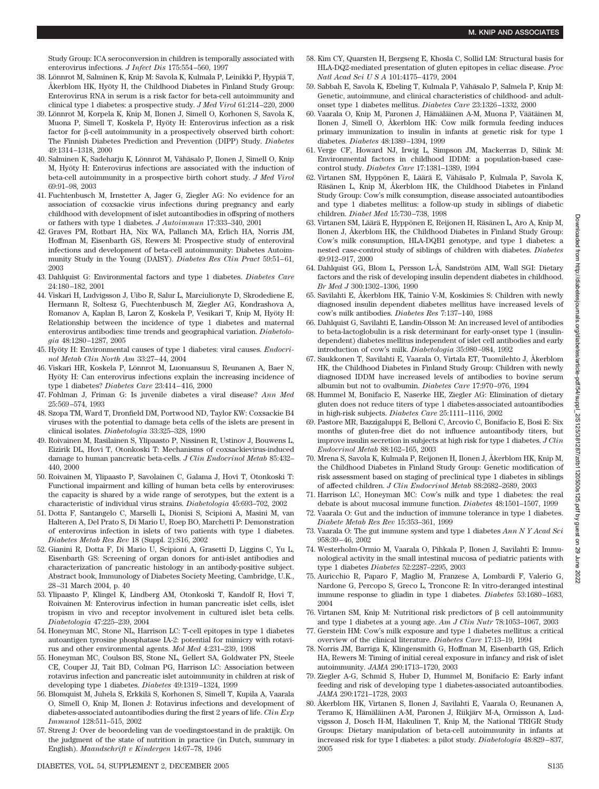Study Group: ICA seroconversion in children is temporally associated with enterovirus infections. *J Infect Dis* 175:554–560, 1997

- 38. Lönnrot M, Salminen K, Knip M: Savola K, Kulmala P, Leinikki P, Hyypiä T, Åkerblom HK, Hyöty H, the Childhood Diabetes in Finland Study Group: Enterovirus RNA in serum is a risk factor for beta-cell autoimmunity and clinical type 1 diabetes: a prospective study. *J Med Virol* 61:214–220, 2000
- 39. Lönnrot M, Korpela K, Knip M, Ilonen J, Simell O, Korhonen S, Savola K, Muona P, Simell T, Koskela P, Hyöty H: Enterovirus infection as a risk factor for  $\beta$ -cell autoimmunity in a prospectively observed birth cohort: The Finnish Diabetes Prediction and Prevention (DIPP) Study. *Diabetes* 49:1314–1318, 2000
- 40. Salminen K, Sadeharju K, Lönnrot M, Vähäsalo P, Ilonen J, Simell O, Knip M, Hyöty H: Enterovirus infections are associated with the induction of beta-cell autoimmunity in a prospective birth cohort study. *J Med Virol* 69:91–98, 2003
- 41. Fuchtenbusch M, Irnstetter A, Jager G, Ziegler AG: No evidence for an association of coxsackie virus infections during pregnancy and early childhood with development of islet autoantibodies in offspring of mothers or fathers with type 1 diabetes. *J Autoimmun* 17:333–340, 2001
- 42. Graves PM, Rotbart HA, Nix WA, Pallanch MA, Erlich HA, Norris JM, Hoffman M, Eisenbarth GS, Rewers M: Prospective study of enteroviral infections and development of beta-cell autoimmunity: Diabetes Autoimmunity Study in the Young (DAISY). *Diabetes Res Clin Pract* 59:51–61, 2003
- 43. Dahlquist G: Environmental factors and type 1 diabetes. *Diabetes Care* 24:180–182, 2001
- 44. Viskari H, Ludvigsson J, Uibo R, Salur L, Marciulionyte D, Skrodediene E, Hermann R, Soltesz G, Fuechtenbusch M, Ziegler AG, Kondrashova A, Romanov A, Kaplan B, Laron Z, Koskela P, Vesikari T, Knip M, Hyöty H: Relationship between the incidence of type 1 diabetes and maternal enterovirus antibodies: time trends and geographical variation. *Diabetologia* 48:1280–1287, 2005
- 45. Hyöty H: Environmental causes of type 1 diabetes: viral causes. *Endocrinol Metab Clin North Am* 33:27–44, 2004
- 46. Viskari HR, Koskela P, Lönnrot M, Luonuansuu S, Reunanen A, Baer N, Hyöty H: Can enterovirus infections explain the increasing incidence of type 1 diabetes? *Diabetes Care* 23:414–416, 2000
- 47. Fohlman J, Friman G: Is juvenile diabetes a viral disease? *Ann Med* 25:569–574, 1993
- 48. Szopa TM, Ward T, Dronfield DM, Portwood ND, Taylor KW: Coxsackie B4 viruses with the potential to damage beta cells of the islets are present in clinical isolates. *Diabetologia* 33:325–328, 1990
- 49. Roivainen M, Rasilainen S, Ylipaasto P, Nissinen R, Ustinov J, Bouwens L, Eizirik DL, Hovi T, Otonkoski T: Mechanisms of coxsackievirus-induced damage to human pancreatic beta-cells. *J Clin Endocrinol Metab* 85:432– 440, 2000
- 50. Roivainen M, Ylipaasto P, Savolainen C, Galama J, Hovi T, Otonkoski T: Functional impairment and killing of human beta cells by enteroviruses: the capacity is shared by a wide range of serotypes, but the extent is a characteristic of individual virus strains. *Diabetologia* 45:693–702, 2002
- 51. Dotta F, Santangelo C, Marselli L, Dionisi S, Scipioni A, Masini M, van Halteren A, Del Prato S, Di Mario U, Roep BO, Marchetti P: Demonstration of enterovirus infection in islets of two patients with type 1 diabetes. *Diabetes Metab Res Rev* 18 (Suppl. 2):S16, 2002
- 52. Gianini R, Dotta F, Di Mario U, Scipioni A, Grasetti D, Liggins C, Yu L, Eisenbarth GS: Screening of organ donors for anti-islet antibodies and characterization of pancreatic histology in an antibody-positive subject. Abstract book, Immunology of Diabetes Society Meeting, Cambridge, U.K., 28–31 March 2004, p. 40
- 53. Ylipaasto P, Klingel K, Lindberg AM, Otonkoski T, Kandolf R, Hovi T, Roivainen M: Enterovirus infection in human pancreatic islet cells, islet tropism in vivo and receptor involvement in cultured islet beta cells. *Diabetologia* 47:225–239, 2004
- 54. Honeyman MC, Stone NL, Harrison LC: T-cell epitopes in type 1 diabetes autoantigen tyrosine phosphatase IA-2: potential for mimicry with rotavirus and other environmental agents. *Mol Med* 4:231–239, 1998
- 55. Honeyman MC, Coulson BS, Stone NL, Gellert SA, Goldwater PN, Steele CE, Couper JJ, Tait BD, Colman PG, Harrison LC: Association between rotavirus infection and pancreatic islet autoimmunity in children at risk of developing type 1 diabetes. *Diabetes* 49:1319–1324, 1999
- 56. Blomquist M, Juhela S, Erkkila¨ S, Korhonen S, Simell T, Kupila A, Vaarala O, Simell O, Knip M, Ilonen J: Rotavirus infections and development of diabetes-associated autoantibodies during the first 2 years of life. *Clin Exp Immunol* 128:511–515, 2002
- 57. Streng J: Over de beoordeling van de voedingstoestand in de praktijk. On the judgment of the state of nutrition in practice (in Dutch, summary in English). *Maandschrift v Kindergen* 14:67–78, 1946
- 58. Kim CY, Quarsten H, Bergseng E, Khosla C, Sollid LM: Structural basis for HLA-DQ2-mediated presentation of gluten epitopes in celiac disease. *Proc Natl Acad SciUSA* 101:4175–4179, 2004
- 59. Sabbah E, Savola K, Ebeling T, Kulmala P, Vähäsalo P, Salmela P, Knip M: Genetic, autoimmune, and clinical characteristics of childhood- and adultonset type 1 diabetes mellitus. *Diabetes Care* 23:1326–1332, 2000
- 60. Vaarala O, Knip M, Paronen J, Hämäläinen A-M, Muona P, Väätäinen M, Ilonen J, Simell O, Åkerblom HK: Cow milk formula feeding induces primary immunization to insulin in infants at genetic risk for type 1 diabetes. *Diabetes* 48:1389–1394, 1999
- 61. Verge CF, Howard NJ, Irwig L, Simpson JM, Mackerras D, Silink M: Environmental factors in childhood IDDM: a population-based casecontrol study. *Diabetes Care* 17:1381–1389, 1994
- 62. Virtanen SM, Hyppönen E, Läärä E, Vähäsalo P, Kulmala P, Savola K, Räsänen L, Knip M, Åkerblom HK, the Childhood Diabetes in Finland Study Group: Cow's milk consumption, disease associated autoantibodies and type 1 diabetes mellitus: a follow-up study in siblings of diabetic children. *Diabet Med* 15:730–738, 1998
- 63. Virtanen SM, Läärä E, Hyppönen E, Reijonen H, Räsänen L, Aro A, Knip M, Ilonen J, Åkerblom HK, the Childhood Diabetes in Finland Study Group: Cow's milk consumption, HLA-DQB1 genotype, and type 1 diabetes: a nested case-control study of siblings of children with diabetes. *Diabetes* 49:912–917, 2000
- 64. Dahlquist GG, Blom L, Persson L-Å, Sandström AIM, Wall SGI: Dietary factors and the risk of developing insulin dependent diabetes in childhood. *Br Med J* 300:1302–1306, 1990
- 65. Savilahti E, Åkerblom HK, Tainio V-M, Koskimies S: Children with newly diagnosed insulin dependent diabetes mellitus have increased levels of cow's milk antibodies. *Diabetes Res* 7:137–140, 1988
- 66. Dahlquist G, Savilahti E, Landin-Olsson M: An increased level of antibodies to beta-lactoglobulin is a risk determinant for early-onset type 1 (insulindependent) diabetes mellitus independent of islet cell antibodies and early introduction of cow's milk. *Diabetologia* 35:980–984, 1992
- 67. Saukkonen T, Savilahti E, Vaarala O, Virtala ET, Tuomilehto J, Åkerblom HK, the Childhood Diabetes in Finland Study Group: Children with newly diagnosed IDDM have increased levels of antibodies to bovine serum albumin but not to ovalbumin. *Diabetes Care* 17:970–976, 1994
- 68. Hummel M, Bonifacio E, Naserke HE, Ziegler AG: Elimination of dietary gluten does not reduce titers of type 1 diabetes-associated autoantibodies in high-risk subjects. *Diabetes Care* 25:1111–1116, 2002
- 69. Pastore MR, Bazzigaluppi E, Belloni C, Arcovio C, Bonifacio E, Bosi E: Six months of gluten-free diet do not influence autoantibody titers, but improve insulin secretion in subjects at high risk for type 1 diabetes. *J Clin Endocrinol Metab* 88:162–165, 2003
- 70. Mrena S, Savola K, Kulmala P, Reijonen H, Ilonen J, Åkerblom HK, Knip M, the Childhood Diabetes in Finland Study Group: Genetic modification of risk assessment based on staging of preclinical type 1 diabetes in siblings of affected children. *J Clin Endocrinol Metab* 88:2682–2689, 2003
- 71. Harrison LC, Honeyman MC: Cow's milk and type 1 diabetes: the real debate is about mucosal immune function. *Diabetes* 48:1501–1507, 1999
- 72. Vaarala O: Gut and the induction of immune tolerance in type 1 diabetes. *Diabete Metab Res Rev* 15:353–361, 1999
- 73. Vaarala O: The gut immune system and type 1 diabetes *Ann N Y Acad Sci* 958:39–46, 2002
- 74. Westerholm-Ormio M, Vaarala O, Pihkala P, Ilonen J, Savilahti E: Immunological activity in the small intestinal mucosa of pediatric patients with type 1 diabetes *Diabetes* 52:2287–2295, 2003
- 75. Auricchio R, Paparo F, Maglio M, Franzese A, Lombardi F, Valerio G, Nardone G, Percopo S, Greco L, Troncone R: In vitro-deranged intestinal immune response to gliadin in type 1 diabetes. *Diabetes* 53:1680–1683, 2004
- 76. Virtanen SM, Knip M: Nutritional risk predictors of  $\beta$  cell autoimmunity and type 1 diabetes at a young age. *Am J Clin Nutr* 78:1053–1067, 2003
- 77. Gerstein HM: Cow's milk exposure and type 1 diabetes mellitus: a critical overview of the clinical literature. *Diabetes Care* 17:13–19, 1994
- 78. Norris JM, Barriga K, Klingensmith G, Hoffman M, Eisenbarth GS, Erlich HA, Rewers M: Timing of initial cereal exposure in infancy and risk of islet autoimmunity. *JAMA* 290:1713–1720, 2003
- 79. Ziegler A-G, Schmid S, Huber D, Hummel M, Bonifacio E: Early infant feeding and risk of developing type 1 diabetes-associated autoantibodies. *JAMA* 290:1721–1728, 2003
- 80. Åkerblom HK, Virtanen S, Ilonen J, Savilahti E, Vaarala O, Reunanen A, Teramo K, Hämäläinen A-M, Paronen J, Riikjärv M-A, Ormisson A, Ludvigsson J, Dosch H-M, Hakulinen T, Knip M, the National TRIGR Study Groups: Dietary manipulation of beta-cell autoimmunity in infants at increased risk for type I diabetes: a pilot study. *Diabetologia* 48:829–837, 2005